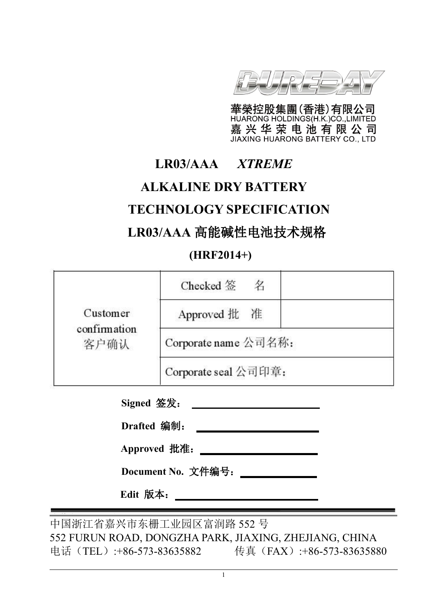

華榮控股集團(香港)有限公司 嘉兴华荣电池有限公司

# **LR03/AAA** *XTREME*

# **ALKALINE DRY BATTERY**

# **TECHNOLOGY SPECIFICATION**

# **LR03/AAA** 高能碱性电池技术规格

# **(HRF2014+)**

|                      | Checked 签<br>名       |  |
|----------------------|----------------------|--|
| Customer             | Approved 批 准         |  |
| confirmation<br>客户确认 | Corporate name 公司名称: |  |
|                      | Corporate seal 公司印章: |  |
|                      | Signed 签发:           |  |
|                      | Drafted 编制:          |  |
|                      | Approved 批准:         |  |

**Document No.** 文件编号:

**Edit** 版本:

中国浙江省嘉兴市东栅工业园区富润路 552 号 552 FURUN ROAD, DONGZHA PARK, JIAXING, ZHEJIANG, CHINA 电话(TEL):+86-573-83635882 传真(FAX):+86-573-83635880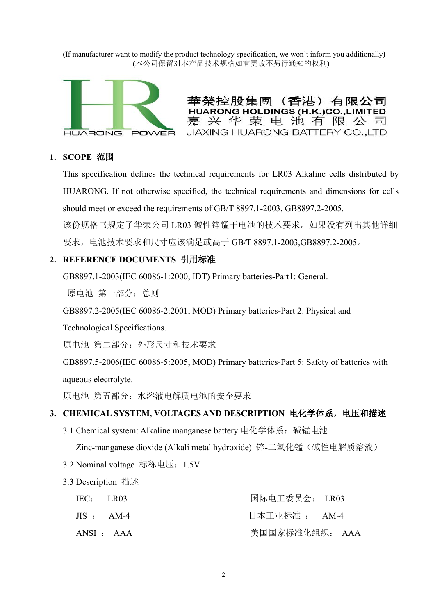**(**If manufacturer want to modify the product technology specification, we won't inform you additionally**) (**本公司保留对本产品技术规格如有更改不另行通知的权利**)**



華榮控股集團 (香港) 有限公司 **HUARONG HOLDINGS (H.K.)CO., LIMITED** 嘉兴华荣电池有限公司 JIAXING HUARONG BATTERY CO., LTD

#### **1. SCOPE** 范围

This specification defines the technical requirements for LR03 Alkaline cells distributed by HUARONG. If not otherwise specified, the technical requirements and dimensions for cells should meet or exceed the requirements of GB/T 8897.1-2003, GB8897.2-2005. 该份规格书规定了华荣公司 LR03 碱性锌锰干电池的技术要求。如果没有列出其他详细 要求,电池技术要求和尺寸应该满足或高于 GB/T 8897.1-2003,GB8897.2-2005。

#### **2. REFERENCE DOCUMENTS** 引用标准

GB8897.1-2003(IEC 60086-1:2000, IDT) Primary batteries-Part1: General.

原电池 第一部分: 总则

GB8897.2-2005(IEC 60086-2:2001, MOD) Primary batteries-Part 2: Physical and

Technological Specifications.

原电池 第二部分: 外形尺寸和技术要求

GB8897.5-2006(IEC 60086-5:2005, MOD) Primary batteries-Part 5: Safety of batteries with aqueous electrolyte.

原电池 第五部分: 水溶液电解质电池的安全要求

#### **3. CHEMICAL SYSTEM, VOLTAGES AND DESCRIPTION** 电化学体系,电压和描述

3.1 Chemical system: Alkaline manganese battery 电化学体系:碱锰电池

Zinc-manganese dioxide (Alkali metal hydroxide) 锌-二氧化锰(碱性电解质溶液)

- 3.2 Nominal voltage 标称电压:1.5V
- 3.3 Description 描述

| IEC:    | LR03      | 国际电工委员会: LR03  |
|---------|-----------|----------------|
| $JIS$ : | $AM-4$    | 日本工业标准 : AM-4  |
|         | ANSI: AAA | 美国国家标准化组织: AAA |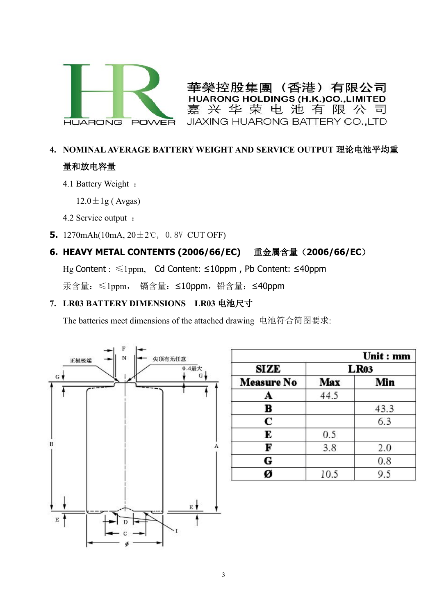

(香港) 華勞控股焦圍 有限公司 **HUARONG HOLDINGS (H.K.)CO.,LIMITED** 嘉兴华荣电池有限公司 JIAXING HUARONG BATTERY CO., LTD

# **4. NOMINAL AVERAGE BATTERY WEIGHT AND SERVICE OUTPUT** 理论电池平均重 量和放电容量

4.1 Battery Weight :

 $12.0 \pm 1$ g (Avgas)

4.2 Service output :

**5.** 1270mAh(10mA, 20±2℃, 0.8V CUT OFF)

## **6. HEAVY METAL CONTENTS (2006/66/EC)** 重金属含量(**2006/66/EC**)

Hg Content :≤1ppm, Cd Content: ≤10ppm , Pb Content: ≤40ppm

汞含量:≤1ppm, 镉含量:≤10ppm,铅含量:≤40ppm

## **7. LR03 BATTERY DIMENSIONS LR03** 电池尺寸

The batteries meet dimensions of the attached drawing 电池符合简图要求:



|                   |             | Unit : mm |  |  |  |  |
|-------------------|-------------|-----------|--|--|--|--|
| SIZE              | <b>LR03</b> |           |  |  |  |  |
| <b>Measure No</b> | Max         | Min       |  |  |  |  |
| A                 | 44.5        |           |  |  |  |  |
| в                 |             | 43.3      |  |  |  |  |
| C                 |             | 6.3       |  |  |  |  |
| E                 | 0.5         |           |  |  |  |  |
| F                 | 3.8         | 2.0       |  |  |  |  |
| G                 |             | 0.8       |  |  |  |  |
|                   | 10.5        |           |  |  |  |  |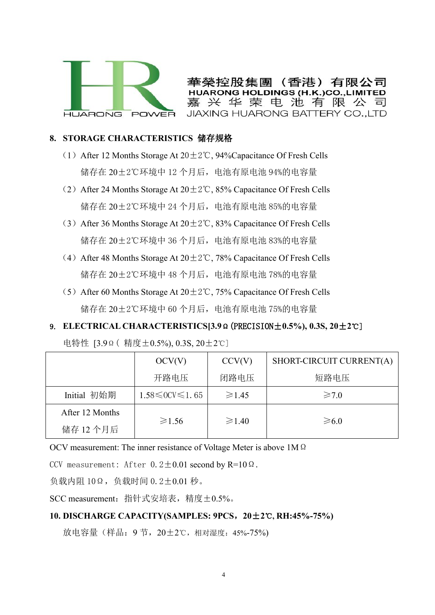

華榮控股集團 (香港) 有限公司 **IOLDINGS (H.K.)CO.,L** 嘉兴华荣电池有限公司 JIAXING HUARONG BATTERY CO., LTD

#### **8. STORAGE CHARACTERISTICS** 储存规格

- (1) After 12 Months Storage At  $20 \pm 2^{\circ}$ C, 94%Capacitance Of Fresh Cells 储存在 20±2℃环境中 12 个月后,电池有原电池 94%的电容量
- (2) After 24 Months Storage At  $20 \pm 2^{\circ}$ C, 85% Capacitance Of Fresh Cells 储存在 20±2℃环境中 24 个月后,电池有原电池 85%的电容量
- (3) After 36 Months Storage At  $20 \pm 2^{\circ}$ C, 83% Capacitance Of Fresh Cells 储存在 20±2℃环境中 36 个月后,电池有原电池 83%的电容量
- (4) After 48 Months Storage At  $20±2°C$ , 78% Capacitance Of Fresh Cells 储存在 20±2℃环境中 48 个月后,电池有原电池 78%的电容量
- (5) After 60 Months Storage At  $20 \pm 2^{\circ}$ C, 75% Capacitance Of Fresh Cells 储存在 20±2℃环境中 60 个月后,电池有原电池 75%的电容量
- 9. **ELECTRICAL CHARACTERISTICS[3.9**Ω(PRECISION±**0.5%), 0.3S, 20**±**2**℃]

电特性 [3.9Ω( 精度±0.5%), 0.3S, 20±2℃]

|                 | OCV(V)                     | CCV(V)      | SHORT-CIRCUIT CURRENT(A) |  |
|-----------------|----------------------------|-------------|--------------------------|--|
|                 | 开路电压                       | 闭路电压        | 短路电压                     |  |
| Initial 初始期     | $1.58 \le 0$ CV $\le 1.65$ | $\geq 1.45$ | $\geq 7.0$               |  |
| After 12 Months |                            |             |                          |  |
| 储存 12 个月后       | $\geq 1.56$                | $\geq 1.40$ | $\geq 6.0$               |  |

OCV measurement: The inner resistance of Voltage Meter is above 1MΩ

CCV measurement: After  $0.2 \pm 0.01$  second by R=10 $\Omega$ .

负载内阻 10Ω,负载时间 0.2±0.01 秒。

SCC measurement:指针式安培表,精度±0.5%。

#### **10. DISCHARGE CAPACITY(SAMPLES: 9PCS**,**20**±**2**℃**, RH:45%-75%)**

放电容量(样品: 9 节, 20±2℃, 相对湿度: 45%-75%)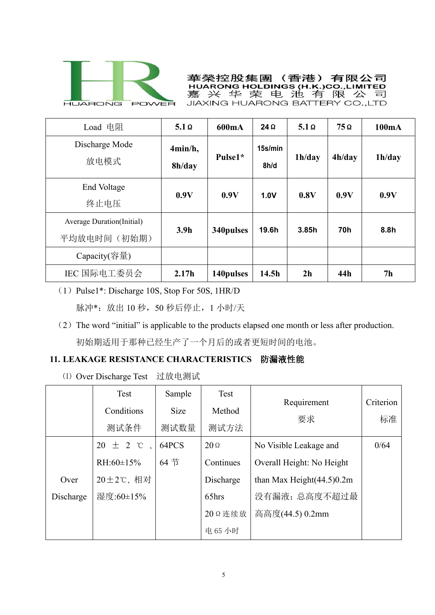

華榮控股集團(香港)有限公司 嘉 JIAXING HUARONG BATTERY CO., LTD

| Load 电阻                                          | $5.1 \Omega$      | 600mA      | $24\Omega$      | $5.1 \Omega$   | $75\Omega$ | 100mA          |
|--------------------------------------------------|-------------------|------------|-----------------|----------------|------------|----------------|
| Discharge Mode<br>放电模式                           | 4min/h,<br>8h/day | Pulse1*    | 15s/min<br>8h/d | 1h/day         | 4h/day     | 1h/day         |
| End Voltage<br>终止电压                              | 0.9V              | 0.9V       | 1.0V            | 0.8V           | 0.9V       | 0.9V           |
| <b>Average Duration</b> (Initial)<br>平均放电时间(初始期) | 3.9 <sub>h</sub>  | 340 pulses | 19.6h           | 3.85h          | <b>70h</b> | 8.8h           |
| Capacity(容量)                                     |                   |            |                 |                |            |                |
| IEC 国际电工委员会                                      | 2.17h             | 140pulses  | 14.5h           | 2 <sub>h</sub> | 44h        | 7 <sub>h</sub> |

- (1)Pulse1\*: Discharge 10S, Stop For 50S, 1HR/D 脉冲\*:放出 10 秒,50 秒后停止, 1 小时/天
- (2) The word "initial" is applicable to the products elapsed one month or less after production. 初始期适用于那种已经生产了一个月后的或者更短时间的电池。

## **11. LEAKAGE RESISTANCE CHARACTERISTICS** 防漏液性能

⑴ Over Discharge Test 过放电测试

|           | Test<br>Conditions<br>测试条件        | Sample<br>Size<br>测试数量 | Test<br>Method<br>测试方法       | Requirement<br>要求                                   | Criterion<br>标准 |  |
|-----------|-----------------------------------|------------------------|------------------------------|-----------------------------------------------------|-----------------|--|
|           | $20 \pm 2$ °C,<br>RH: $60\pm15\%$ | 64PCS<br>64 节          | $20 \Omega$<br>Continues     | No Visible Leakage and<br>Overall Height: No Height | 0/64            |  |
| Over      | 20±2℃, 相对                         |                        | Discharge                    | than Max Height $(44.5)0.2m$                        |                 |  |
| Discharge | 湿度:60±15%                         |                        | 65hrs<br>20 Q 连续放<br>电 65 小时 | 没有漏液;总高度不超过最<br>高高度(44.5) 0.2mm                     |                 |  |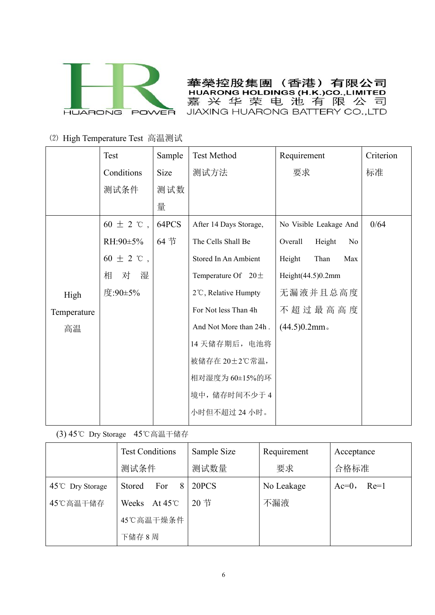

華榮控股集團 (香港) 有限公司 HUARONG HOLDINGS (H.K.)CO., LIMITED 嘉兴华荣电池有限公司 JIAXING HUARONG BATTERY CO., LTD

### ⑵ High Temperature Test 高温测试

|             | (2) High Temperature Test 高温测试 |        |                                |                                     |           |  |
|-------------|--------------------------------|--------|--------------------------------|-------------------------------------|-----------|--|
|             | Test                           | Sample | <b>Test Method</b>             | Requirement                         | Criterion |  |
|             | Conditions                     | Size   | 测试方法                           | 要求                                  | 标准        |  |
|             | 测试条件                           | 测试数    |                                |                                     |           |  |
|             |                                | 量      |                                |                                     |           |  |
|             | 60 $\pm$ 2 °C,                 | 64PCS  | After 14 Days Storage,         | No Visible Leakage And              | 0/64      |  |
|             | RH:90 $\pm$ 5%                 | 64 节   | The Cells Shall Be             | Overall<br>Height<br>N <sub>0</sub> |           |  |
|             | 60 $\pm$ 2 °C,                 |        | Stored In An Ambient           | Height<br>Than<br>Max               |           |  |
|             | 湿<br>对<br>相                    |        | Temperature Of $20 \pm$        | Height $(44.5)0.2$ mm               |           |  |
| High        | 度:90±5%                        |        | $2^{\circ}$ C, Relative Humpty | 无漏液并且总高度                            |           |  |
| Temperature |                                |        | For Not less Than 4h           | 不超过最高高度                             |           |  |
| 高温          |                                |        | And Not More than 24h.         | $(44.5)0.2$ mm.                     |           |  |
|             |                                |        | 14天储存期后, 电池将                   |                                     |           |  |
|             |                                |        | 被储存在 20±2℃常温,                  |                                     |           |  |
|             |                                |        | 相对湿度为 60±15%的环                 |                                     |           |  |
|             |                                |        | 境中,储存时间不少于4                    |                                     |           |  |
|             |                                |        | 小时但不超过24小时。                    |                                     |           |  |
|             |                                |        |                                |                                     |           |  |

(3) 45℃ Dry Storage 45℃高温干储存

|                            | <b>Test Conditions</b>  | Sample Size | Requirement | Acceptance         |  |
|----------------------------|-------------------------|-------------|-------------|--------------------|--|
|                            | 测试条件                    | 测试数量        | 要求          | 合格标准               |  |
| $45^{\circ}$ C Dry Storage | For<br>8<br>Stored      | 20PCS       | No Leakage  | $Re=1$<br>$Ac=0$ , |  |
| 45℃高温干储存                   | Weeks At $45^{\circ}$ C | 20节         | 不漏液         |                    |  |
|                            | 45℃高温干燥条件               |             |             |                    |  |
|                            | 下储存 8 周                 |             |             |                    |  |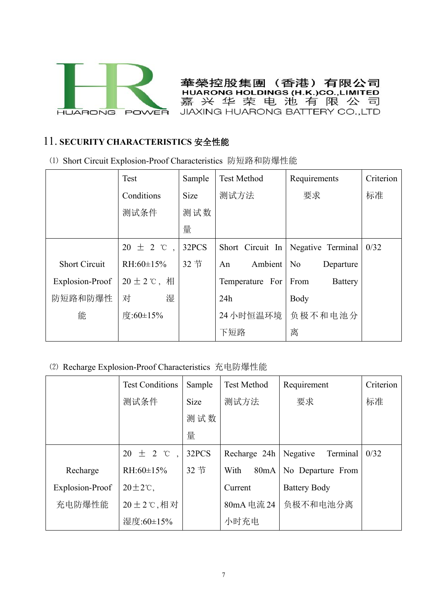

華榮控股集團 (香港) 有限公司 **HUARONG HOLDINGS (H.K.)CO., LIMITED** 嘉兴华荣电池有限公司 JIAXING HUARONG BATTERY CO., LTD

## 11. **SECURITY CHARACTERISTICS** 安全性能

|                                                     | (1) Short Circuit Explosion-Proof Characteristics 防短路和防爆性能 |             |                    |                        |           |  |  |  |
|-----------------------------------------------------|------------------------------------------------------------|-------------|--------------------|------------------------|-----------|--|--|--|
|                                                     | Test                                                       | Sample      | <b>Test Method</b> | Requirements           | Criterion |  |  |  |
|                                                     | Conditions                                                 | <b>Size</b> | 测试方法               | 要求                     | 标准        |  |  |  |
|                                                     | 测试条件                                                       | 测试数         |                    |                        |           |  |  |  |
|                                                     |                                                            | 量           |                    |                        |           |  |  |  |
|                                                     | $20 \pm 2$ °C,                                             | 32PCS       | Short Circuit In   | Negative Terminal      | 0/32      |  |  |  |
| <b>Short Circuit</b>                                | RH: $60\pm15\%$                                            | 32节         | Ambient   No<br>An | Departure              |           |  |  |  |
| Explosion-Proof                                     | $20 \pm 2$ ℃, 相                                            |             | Temperature For    | From<br><b>Battery</b> |           |  |  |  |
| 防短路和防爆性                                             | 湿<br>对                                                     |             | 24h                | Body                   |           |  |  |  |
| 能                                                   | 度:60±15%                                                   |             | 24 小时恒温环境          | 负极不和电池分                |           |  |  |  |
|                                                     |                                                            |             | 下短路                | 离                      |           |  |  |  |
|                                                     |                                                            |             |                    |                        |           |  |  |  |
| (2) Recharge Explosion-Proof Characteristics 充电防爆性能 |                                                            |             |                    |                        |           |  |  |  |
|                                                     | <b>Test Conditions</b>                                     | Sample      | <b>Test Method</b> | Requirement            | Criterion |  |  |  |
|                                                     | 测试条件                                                       | Size        | 测试方法               | 要求                     | 标准        |  |  |  |
|                                                     |                                                            | 测试数         |                    |                        |           |  |  |  |
|                                                     |                                                            | 量           |                    |                        |           |  |  |  |
|                                                     |                                                            |             |                    |                        |           |  |  |  |

|                 | <b>Test Conditions</b> | Sample | <b>Test Method</b><br>Requirement |                      | Criterion |
|-----------------|------------------------|--------|-----------------------------------|----------------------|-----------|
|                 | 测试条件                   | Size   | 测试方法                              | 要求                   | 标准        |
|                 |                        | 测试数    |                                   |                      |           |
|                 |                        | 量      |                                   |                      |           |
|                 | $\pm$ 2 °C<br>20       | 32PCS  | Recharge 24h                      | Negative<br>Terminal | 0/32      |
| Recharge        | RH: $60\pm15\%$        | 32节    | With<br>80mA                      | No Departure From    |           |
| Explosion-Proof | $20 \pm 2^{\circ}$ C,  |        | Current                           | <b>Battery Body</b>  |           |
| 充电防爆性能          | 20±2℃,相对               |        | 80mA 电流 24                        | 负极不和电池分离             |           |
|                 | 湿度:60±15%              |        | 小时充电                              |                      |           |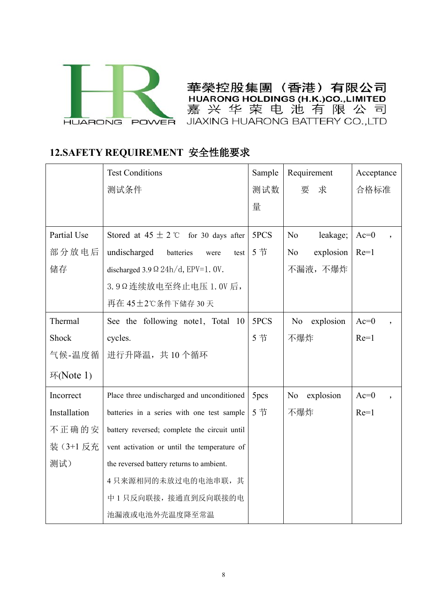

華榮控股集團 (香港) 有限公司 HUARONG HOLDINGS (H.K.)CO., LIMITED

# **12.SAFETY REQUIREMENT** 安全性能要求

|              | <b>HUARONG POWER</b>                         |        | 嘉 兴 华 荣 电 池 有 限 公 司<br>JIAXING HUARONG BATTERY CO., LTD |                   |
|--------------|----------------------------------------------|--------|---------------------------------------------------------|-------------------|
|              | 12.SAFETY REQUIREMENT 安全性能要求                 |        |                                                         |                   |
|              | <b>Test Conditions</b>                       | Sample | Requirement                                             | Acceptance        |
|              | 测试条件                                         | 测试数    | 求<br>要                                                  | 合格标准              |
|              |                                              | 量      |                                                         |                   |
| Partial Use  | Stored at $45 \pm 2$ °C for 30 days after    | 5PCS   | leakage;<br>N <sub>o</sub>                              | $Ac=0$            |
| 部分放电后        | undischarged<br>batteries<br>test<br>were    | 5节     | explosion<br>N <sub>0</sub>                             | $Re=1$            |
| 储存           | discharged 3.9 $\Omega$ 24h/d, EPV=1. 0V.    |        | 不漏液,不爆炸                                                 |                   |
|              | 3.9Ω连续放电至终止电压 1.0V后,                         |        |                                                         |                   |
|              | 再在 45±2℃条件下储存 30天                            |        |                                                         |                   |
| Thermal      | See the following notel, Total 10            | 5PCS   | explosion<br>No                                         | $Ac=0$            |
| Shock        | cycles.                                      | 5节     | 不爆炸                                                     | $Re=1$            |
| 气候-温度循       | 进行升降温, 共10个循环                                |        |                                                         |                   |
| 环 $(Note 1)$ |                                              |        |                                                         |                   |
| Incorrect    | Place three undischarged and unconditioned   | 5pcs   | explosion<br>No                                         | $Ac=0$<br>$\cdot$ |
| Installation | batteries in a series with one test sample   | 5节     | 不爆炸                                                     | $Re=1$            |
| 不正确的安        | battery reversed; complete the circuit until |        |                                                         |                   |
| 装 (3+1 反充    | vent activation or until the temperature of  |        |                                                         |                   |
| 测试)          | the reversed battery returns to ambient.     |        |                                                         |                   |
|              | 4只来源相同的未放过电的电池串联,其                           |        |                                                         |                   |
|              | 中1只反向联接,接通直到反向联接的电                           |        |                                                         |                   |
|              | 池漏液或电池外壳温度降至常温                               |        |                                                         |                   |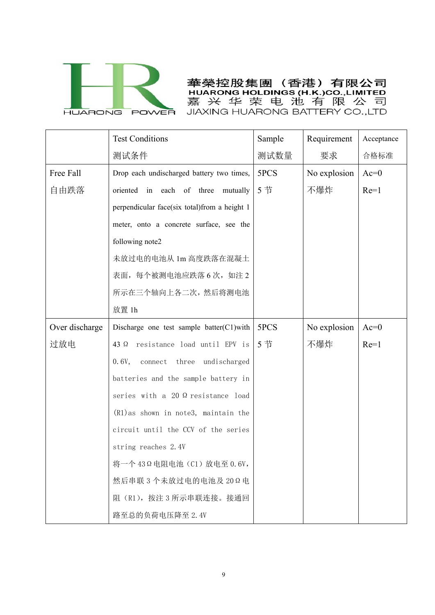

華榮控股集團 (香港) 有限公司 HUARONG HOLDINGS (H.K.)CO., LIMITED 嘉兴华荣电池有限公司 JIAXING HUARONG BATTERY CO., LTD

|                | <b>Test Conditions</b>                       | Sample | Requirement  | Acceptance |
|----------------|----------------------------------------------|--------|--------------|------------|
|                | 测试条件                                         | 测试数量   | 要求           | 合格标准       |
| Free Fall      | Drop each undischarged battery two times,    | 5PCS   | No explosion | $Ac=0$     |
| 自由跌落           | oriented in each of three mutually           | 5节     | 不爆炸          | $Re=1$     |
|                | perpendicular face(six total)from a height 1 |        |              |            |
|                | meter, onto a concrete surface, see the      |        |              |            |
|                | following note2                              |        |              |            |
|                | 未放过电的电池从 1m 高度跌落在混凝土                         |        |              |            |
|                | 表面,每个被测电池应跌落6次,如注2                           |        |              |            |
|                | 所示在三个轴向上各二次, 然后将测电池                          |        |              |            |
|                | 放置 1h                                        |        |              |            |
| Over discharge | Discharge one test sample batter(C1)with     | 5PCS   | No explosion | $Ac=0$     |
| 过放电            | 43 $\Omega$ resistance load until EPV is     | 5节     | 不爆炸          | $Re=1$     |
|                | connect three undischarged<br>0.6V,          |        |              |            |
|                | batteries and the sample battery in          |        |              |            |
|                | series with a 20 $\Omega$ resistance load    |        |              |            |
|                | $(R1)$ as shown in note3, maintain the       |        |              |            |
|                | circuit until the CCV of the series          |        |              |            |
|                | string reaches 2.4V                          |        |              |            |
|                | 将一个43Ω电阻电池 (C1) 放电至 0.6V,                    |        |              |            |
|                | 然后串联3个未放过电的电池及20Ω电                           |        |              |            |
|                | 阻 (R1), 按注 3 所示串联连接。接通回                      |        |              |            |
|                | 路至总的负荷电压降至 2.4V                              |        |              |            |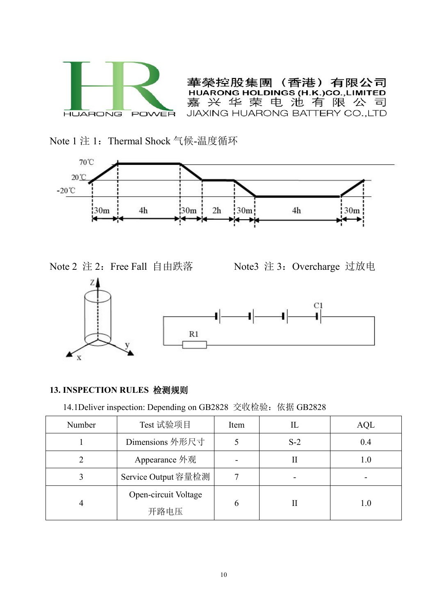

(香港) 有限公司 華榮控股集團 **HUAR HOLDINGS (H.K.)CO.,LIMITED** 嘉兴华荣电池有限公司 JIAXING HUARONG BATTERY CO., LTD

Note 1 注 1: Thermal Shock 气候-温度循环







## **13. INSPECTION RULES** 检测规则

14.1Deliver inspection: Depending on GB2828 交收检验:依据 GB2828

| Number | Test 试验项目                    | Item |       | AQL |
|--------|------------------------------|------|-------|-----|
|        | Dimensions 外形尺寸              |      | $S-2$ | 0.4 |
|        | Appearance 外观                |      | П     | 1.0 |
|        | Service Output 容量检测          |      |       |     |
|        | Open-circuit Voltage<br>开路电压 | 6    | п     | 1.0 |